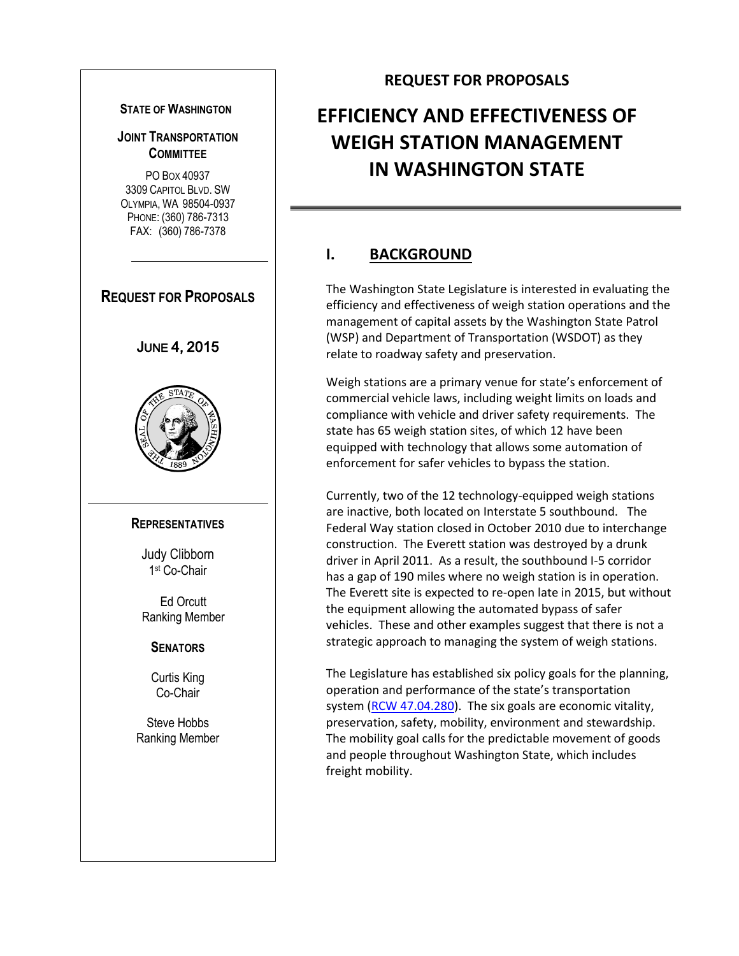#### **STATE OF WASHINGTON**

#### **JOINT TRANSPORTATION COMMITTEE**

PO BOX 40937 3309 CAPITOL BLVD. SW OLYMPIA, WA 98504-0937 PHONE: (360) 786-7313 FAX: (360) 786-7378



#### **REQUEST FOR PROPOSALS**

# **EFFICIENCY AND EFFECTIVENESS OF WEIGH STATION MANAGEMENT IN WASHINGTON STATE**

### **I. BACKGROUND**

The Washington State Legislature is interested in evaluating the efficiency and effectiveness of weigh station operations and the management of capital assets by the Washington State Patrol (WSP) and Department of Transportation (WSDOT) as they relate to roadway safety and preservation.

Weigh stations are a primary venue for state's enforcement of commercial vehicle laws, including weight limits on loads and compliance with vehicle and driver safety requirements. The state has 65 weigh station sites, of which 12 have been equipped with technology that allows some automation of enforcement for safer vehicles to bypass the station.

Currently, two of the 12 technology-equipped weigh stations are inactive, both located on Interstate 5 southbound. The Federal Way station closed in October 2010 due to interchange construction. The Everett station was destroyed by a drunk driver in April 2011. As a result, the southbound I-5 corridor has a gap of 190 miles where no weigh station is in operation. The Everett site is expected to re-open late in 2015, but without the equipment allowing the automated bypass of safer vehicles. These and other examples suggest that there is not a strategic approach to managing the system of weigh stations.

The Legislature has established six policy goals for the planning, operation and performance of the state's transportation system [\(RCW 47.04.280\)](http://apps.leg.wa.gov/rcw/default.aspx?cite=47.04.280). The six goals are economic vitality, preservation, safety, mobility, environment and stewardship. The mobility goal calls for the predictable movement of goods and people throughout Washington State, which includes freight mobility.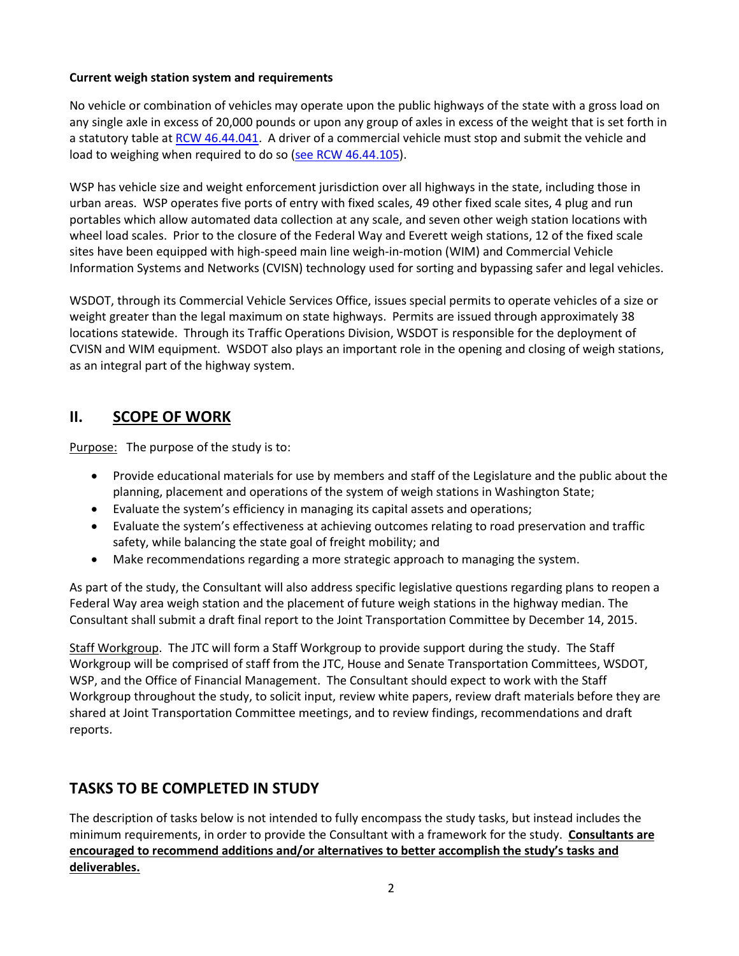#### **Current weigh station system and requirements**

No vehicle or combination of vehicles may operate upon the public highways of the state with a gross load on any single axle in excess of 20,000 pounds or upon any group of axles in excess of the weight that is set forth in a statutory table a[t RCW 46.44.041.](http://app.leg.wa.gov/rcw/default.aspx?cite=46.44.041) A driver of a commercial vehicle must stop and submit the vehicle and load to weighing when required to do so [\(see RCW 46.44.105\)](http://apps.leg.wa.gov/rcw/default.aspx?cite=46.44.105).

WSP has vehicle size and weight enforcement jurisdiction over all highways in the state, including those in urban areas. WSP operates five ports of entry with fixed scales, 49 other fixed scale sites, 4 plug and run portables which allow automated data collection at any scale, and seven other weigh station locations with wheel load scales. Prior to the closure of the Federal Way and Everett weigh stations, 12 of the fixed scale sites have been equipped with high-speed main line weigh-in-motion (WIM) and Commercial Vehicle Information Systems and Networks (CVISN) technology used for sorting and bypassing safer and legal vehicles.

WSDOT, through its Commercial Vehicle Services Office, issues special permits to operate vehicles of a size or weight greater than the legal maximum on state highways. Permits are issued through approximately 38 locations statewide. Through its Traffic Operations Division, WSDOT is responsible for the deployment of CVISN and WIM equipment. WSDOT also plays an important role in the opening and closing of weigh stations, as an integral part of the highway system.

### **II. SCOPE OF WORK**

Purpose: The purpose of the study is to:

- Provide educational materials for use by members and staff of the Legislature and the public about the planning, placement and operations of the system of weigh stations in Washington State;
- Evaluate the system's efficiency in managing its capital assets and operations;
- Evaluate the system's effectiveness at achieving outcomes relating to road preservation and traffic safety, while balancing the state goal of freight mobility; and
- Make recommendations regarding a more strategic approach to managing the system.

As part of the study, the Consultant will also address specific legislative questions regarding plans to reopen a Federal Way area weigh station and the placement of future weigh stations in the highway median. The Consultant shall submit a draft final report to the Joint Transportation Committee by December 14, 2015.

Staff Workgroup. The JTC will form a Staff Workgroup to provide support during the study. The Staff Workgroup will be comprised of staff from the JTC, House and Senate Transportation Committees, WSDOT, WSP, and the Office of Financial Management. The Consultant should expect to work with the Staff Workgroup throughout the study, to solicit input, review white papers, review draft materials before they are shared at Joint Transportation Committee meetings, and to review findings, recommendations and draft reports.

### **TASKS TO BE COMPLETED IN STUDY**

The description of tasks below is not intended to fully encompass the study tasks, but instead includes the minimum requirements, in order to provide the Consultant with a framework for the study. **Consultants are encouraged to recommend additions and/or alternatives to better accomplish the study's tasks and deliverables.**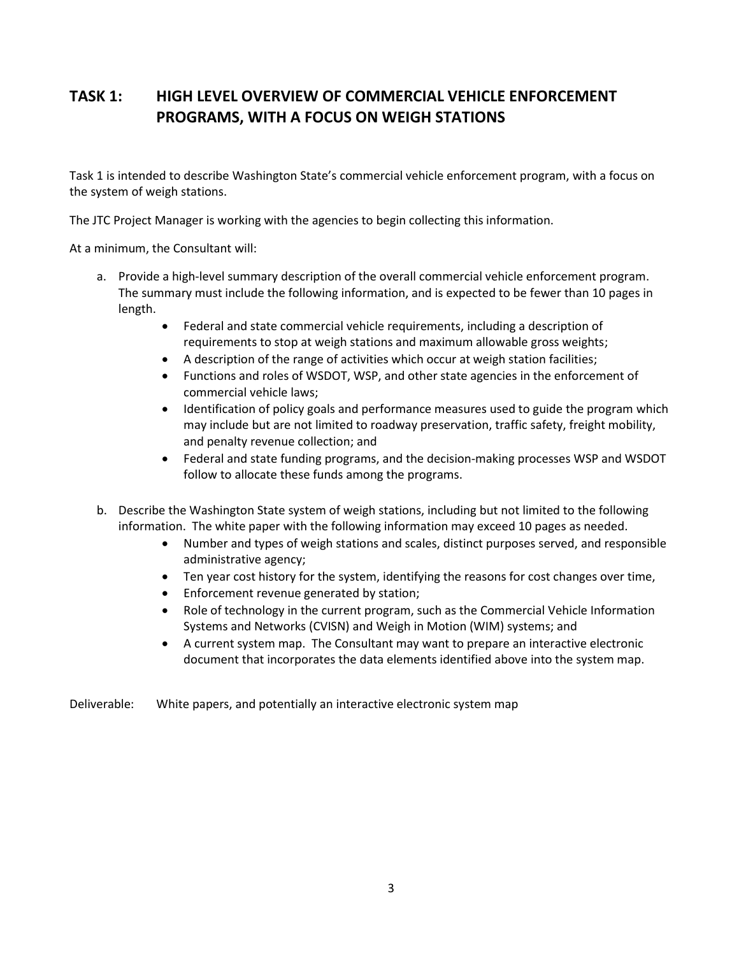# **TASK 1: HIGH LEVEL OVERVIEW OF COMMERCIAL VEHICLE ENFORCEMENT PROGRAMS, WITH A FOCUS ON WEIGH STATIONS**

Task 1 is intended to describe Washington State's commercial vehicle enforcement program, with a focus on the system of weigh stations.

The JTC Project Manager is working with the agencies to begin collecting this information.

At a minimum, the Consultant will:

- a. Provide a high-level summary description of the overall commercial vehicle enforcement program. The summary must include the following information, and is expected to be fewer than 10 pages in length.
	- Federal and state commercial vehicle requirements, including a description of requirements to stop at weigh stations and maximum allowable gross weights;
	- A description of the range of activities which occur at weigh station facilities;
	- Functions and roles of WSDOT, WSP, and other state agencies in the enforcement of commercial vehicle laws;
	- Identification of policy goals and performance measures used to guide the program which may include but are not limited to roadway preservation, traffic safety, freight mobility, and penalty revenue collection; and
	- Federal and state funding programs, and the decision-making processes WSP and WSDOT follow to allocate these funds among the programs.
- b. Describe the Washington State system of weigh stations, including but not limited to the following information. The white paper with the following information may exceed 10 pages as needed.
	- Number and types of weigh stations and scales, distinct purposes served, and responsible administrative agency;
	- Ten year cost history for the system, identifying the reasons for cost changes over time,
	- **•** Enforcement revenue generated by station;
	- Role of technology in the current program, such as the Commercial Vehicle Information Systems and Networks (CVISN) and Weigh in Motion (WIM) systems; and
	- A current system map. The Consultant may want to prepare an interactive electronic document that incorporates the data elements identified above into the system map.

Deliverable: White papers, and potentially an interactive electronic system map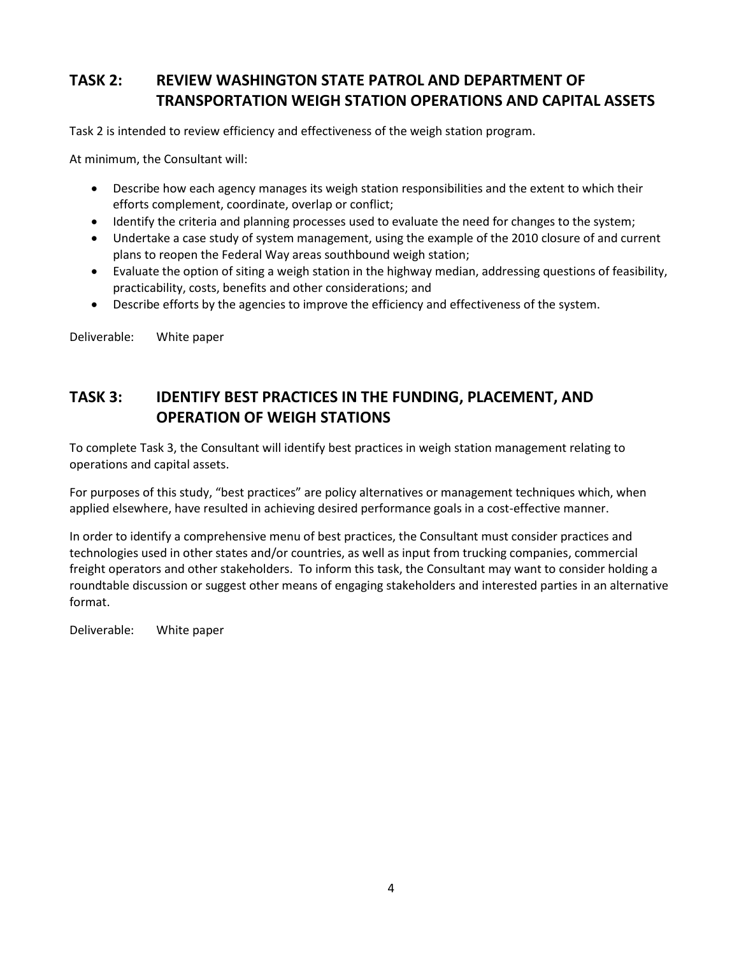# **TASK 2: REVIEW WASHINGTON STATE PATROL AND DEPARTMENT OF TRANSPORTATION WEIGH STATION OPERATIONS AND CAPITAL ASSETS**

Task 2 is intended to review efficiency and effectiveness of the weigh station program.

At minimum, the Consultant will:

- Describe how each agency manages its weigh station responsibilities and the extent to which their efforts complement, coordinate, overlap or conflict;
- Identify the criteria and planning processes used to evaluate the need for changes to the system;
- Undertake a case study of system management, using the example of the 2010 closure of and current plans to reopen the Federal Way areas southbound weigh station;
- Evaluate the option of siting a weigh station in the highway median, addressing questions of feasibility, practicability, costs, benefits and other considerations; and
- Describe efforts by the agencies to improve the efficiency and effectiveness of the system.

Deliverable: White paper

### **TASK 3: IDENTIFY BEST PRACTICES IN THE FUNDING, PLACEMENT, AND OPERATION OF WEIGH STATIONS**

To complete Task 3, the Consultant will identify best practices in weigh station management relating to operations and capital assets.

For purposes of this study, "best practices" are policy alternatives or management techniques which, when applied elsewhere, have resulted in achieving desired performance goals in a cost-effective manner.

In order to identify a comprehensive menu of best practices, the Consultant must consider practices and technologies used in other states and/or countries, as well as input from trucking companies, commercial freight operators and other stakeholders. To inform this task, the Consultant may want to consider holding a roundtable discussion or suggest other means of engaging stakeholders and interested parties in an alternative format.

Deliverable: White paper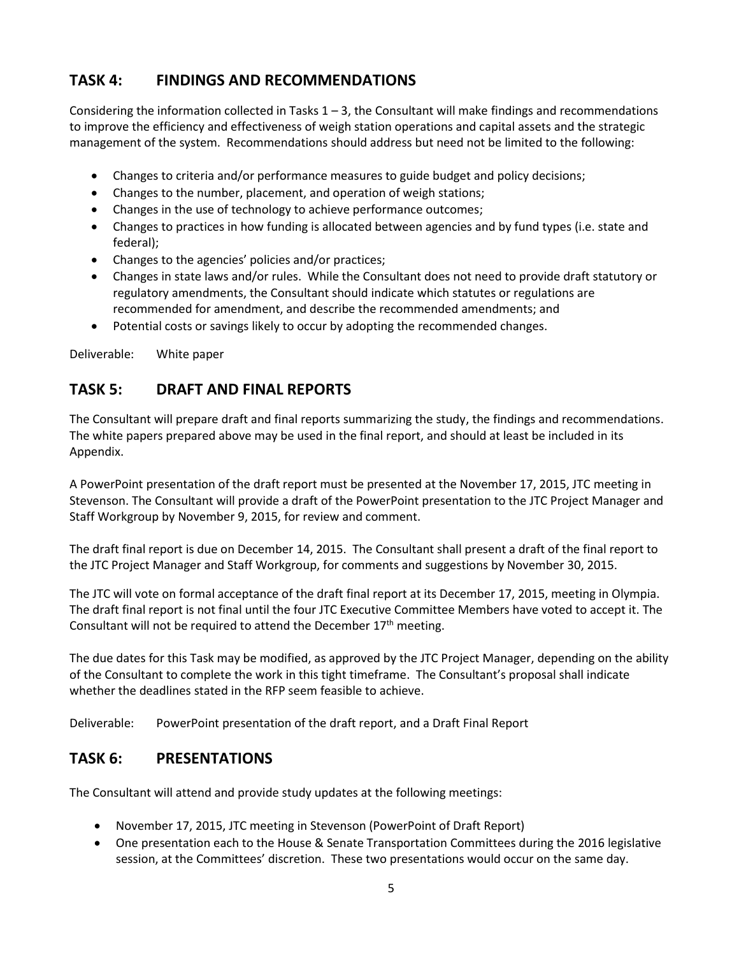# **TASK 4: FINDINGS AND RECOMMENDATIONS**

Considering the information collected in Tasks  $1 - 3$ , the Consultant will make findings and recommendations to improve the efficiency and effectiveness of weigh station operations and capital assets and the strategic management of the system. Recommendations should address but need not be limited to the following:

- Changes to criteria and/or performance measures to guide budget and policy decisions;
- Changes to the number, placement, and operation of weigh stations;
- Changes in the use of technology to achieve performance outcomes;
- Changes to practices in how funding is allocated between agencies and by fund types (i.e. state and federal);
- Changes to the agencies' policies and/or practices;
- Changes in state laws and/or rules. While the Consultant does not need to provide draft statutory or regulatory amendments, the Consultant should indicate which statutes or regulations are recommended for amendment, and describe the recommended amendments; and
- Potential costs or savings likely to occur by adopting the recommended changes.

Deliverable: White paper

### **TASK 5: DRAFT AND FINAL REPORTS**

The Consultant will prepare draft and final reports summarizing the study, the findings and recommendations. The white papers prepared above may be used in the final report, and should at least be included in its Appendix.

A PowerPoint presentation of the draft report must be presented at the November 17, 2015, JTC meeting in Stevenson. The Consultant will provide a draft of the PowerPoint presentation to the JTC Project Manager and Staff Workgroup by November 9, 2015, for review and comment.

The draft final report is due on December 14, 2015. The Consultant shall present a draft of the final report to the JTC Project Manager and Staff Workgroup, for comments and suggestions by November 30, 2015.

The JTC will vote on formal acceptance of the draft final report at its December 17, 2015, meeting in Olympia. The draft final report is not final until the four JTC Executive Committee Members have voted to accept it. The Consultant will not be required to attend the December  $17<sup>th</sup>$  meeting.

The due dates for this Task may be modified, as approved by the JTC Project Manager, depending on the ability of the Consultant to complete the work in this tight timeframe. The Consultant's proposal shall indicate whether the deadlines stated in the RFP seem feasible to achieve.

Deliverable: PowerPoint presentation of the draft report, and a Draft Final Report

### **TASK 6: PRESENTATIONS**

The Consultant will attend and provide study updates at the following meetings:

- November 17, 2015, JTC meeting in Stevenson (PowerPoint of Draft Report)
- One presentation each to the House & Senate Transportation Committees during the 2016 legislative session, at the Committees' discretion. These two presentations would occur on the same day.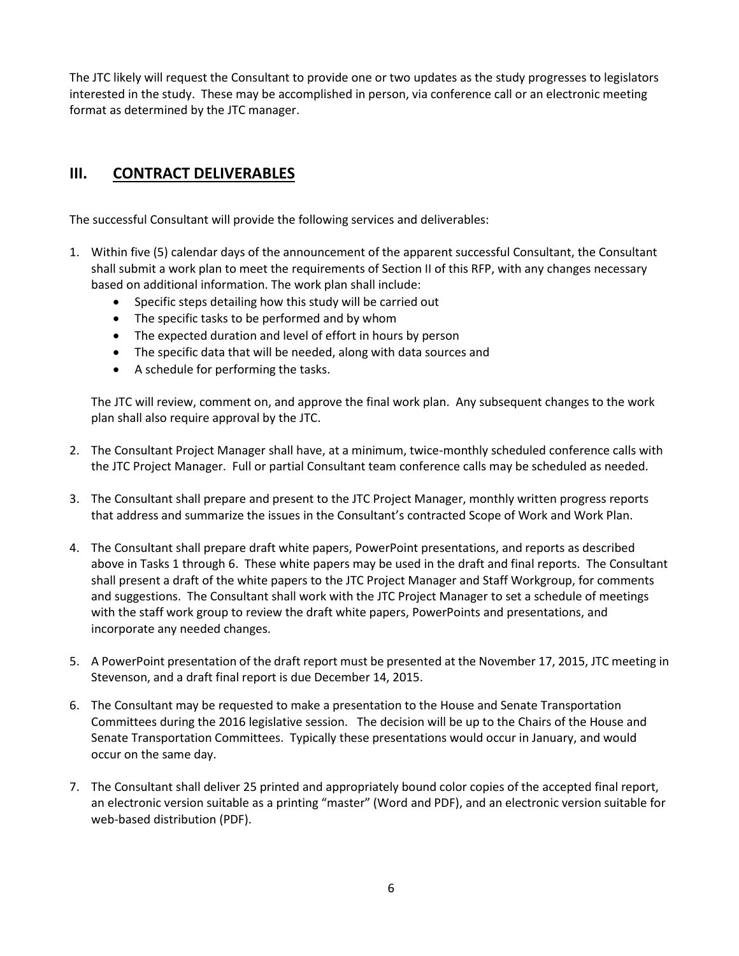The JTC likely will request the Consultant to provide one or two updates as the study progresses to legislators interested in the study. These may be accomplished in person, via conference call or an electronic meeting format as determined by the JTC manager.

# **III. CONTRACT DELIVERABLES**

The successful Consultant will provide the following services and deliverables:

- 1. Within five (5) calendar days of the announcement of the apparent successful Consultant, the Consultant shall submit a work plan to meet the requirements of Section II of this RFP, with any changes necessary based on additional information. The work plan shall include:
	- Specific steps detailing how this study will be carried out
	- The specific tasks to be performed and by whom
	- The expected duration and level of effort in hours by person
	- The specific data that will be needed, along with data sources and
	- A schedule for performing the tasks.

The JTC will review, comment on, and approve the final work plan. Any subsequent changes to the work plan shall also require approval by the JTC.

- 2. The Consultant Project Manager shall have, at a minimum, twice-monthly scheduled conference calls with the JTC Project Manager. Full or partial Consultant team conference calls may be scheduled as needed.
- 3. The Consultant shall prepare and present to the JTC Project Manager, monthly written progress reports that address and summarize the issues in the Consultant's contracted Scope of Work and Work Plan.
- 4. The Consultant shall prepare draft white papers, PowerPoint presentations, and reports as described above in Tasks 1 through 6. These white papers may be used in the draft and final reports. The Consultant shall present a draft of the white papers to the JTC Project Manager and Staff Workgroup, for comments and suggestions. The Consultant shall work with the JTC Project Manager to set a schedule of meetings with the staff work group to review the draft white papers, PowerPoints and presentations, and incorporate any needed changes.
- 5. A PowerPoint presentation of the draft report must be presented at the November 17, 2015, JTC meeting in Stevenson, and a draft final report is due December 14, 2015.
- 6. The Consultant may be requested to make a presentation to the House and Senate Transportation Committees during the 2016 legislative session. The decision will be up to the Chairs of the House and Senate Transportation Committees. Typically these presentations would occur in January, and would occur on the same day.
- 7. The Consultant shall deliver 25 printed and appropriately bound color copies of the accepted final report, an electronic version suitable as a printing "master" (Word and PDF), and an electronic version suitable for web-based distribution (PDF).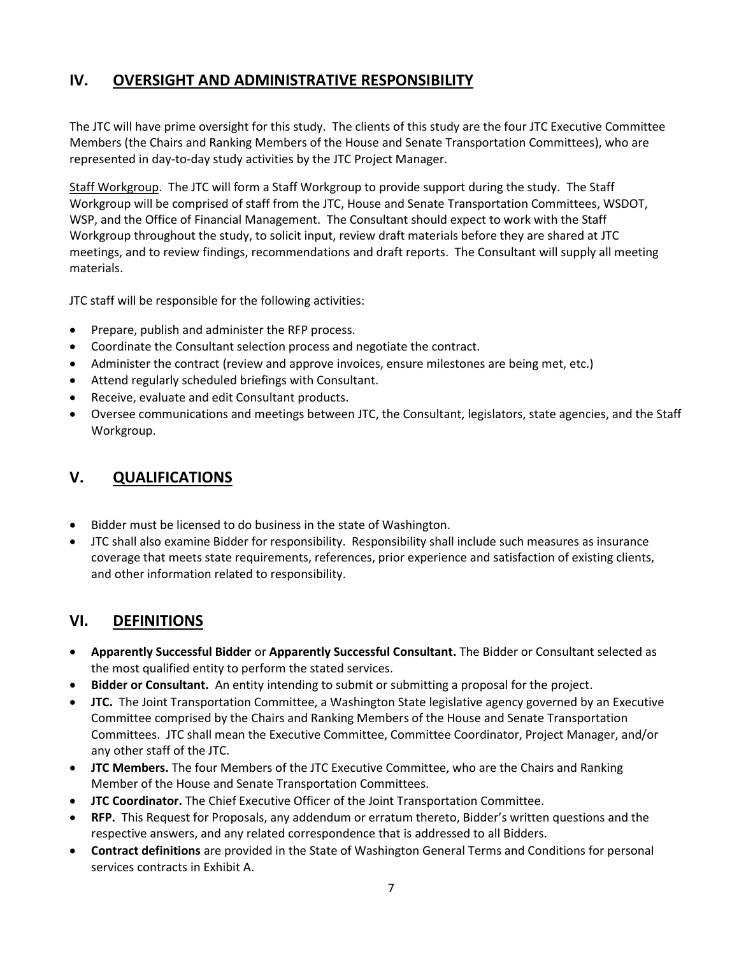### **IV. OVERSIGHT AND ADMINISTRATIVE RESPONSIBILITY**

The JTC will have prime oversight for this study. The clients of this study are the four JTC Executive Committee Members (the Chairs and Ranking Members of the House and Senate Transportation Committees), who are represented in day-to-day study activities by the JTC Project Manager.

Staff Workgroup. The JTC will form a Staff Workgroup to provide support during the study. The Staff Workgroup will be comprised of staff from the JTC, House and Senate Transportation Committees, WSDOT, WSP, and the Office of Financial Management. The Consultant should expect to work with the Staff Workgroup throughout the study, to solicit input, review draft materials before they are shared at JTC meetings, and to review findings, recommendations and draft reports. The Consultant will supply all meeting materials.

JTC staff will be responsible for the following activities:

- Prepare, publish and administer the RFP process.
- Coordinate the Consultant selection process and negotiate the contract.
- Administer the contract (review and approve invoices, ensure milestones are being met, etc.)
- Attend regularly scheduled briefings with Consultant.
- Receive, evaluate and edit Consultant products.
- Oversee communications and meetings between JTC, the Consultant, legislators, state agencies, and the Staff Workgroup.

### **V. QUALIFICATIONS**

- Bidder must be licensed to do business in the state of Washington.
- JTC shall also examine Bidder for responsibility. Responsibility shall include such measures as insurance coverage that meets state requirements, references, prior experience and satisfaction of existing clients, and other information related to responsibility.

### **VI. DEFINITIONS**

- **Apparently Successful Bidder** or **Apparently Successful Consultant.** The Bidder or Consultant selected as the most qualified entity to perform the stated services.
- **Bidder or Consultant.** An entity intending to submit or submitting a proposal for the project.
- **JTC.** The Joint Transportation Committee, a Washington State legislative agency governed by an Executive Committee comprised by the Chairs and Ranking Members of the House and Senate Transportation Committees. JTC shall mean the Executive Committee, Committee Coordinator, Project Manager, and/or any other staff of the JTC.
- **JTC Members.** The four Members of the JTC Executive Committee, who are the Chairs and Ranking Member of the House and Senate Transportation Committees.
- **JTC Coordinator.** The Chief Executive Officer of the Joint Transportation Committee.
- **RFP.** This Request for Proposals, any addendum or erratum thereto, Bidder's written questions and the respective answers, and any related correspondence that is addressed to all Bidders.
- **Contract definitions** are provided in the State of Washington General Terms and Conditions for personal services contracts in Exhibit A.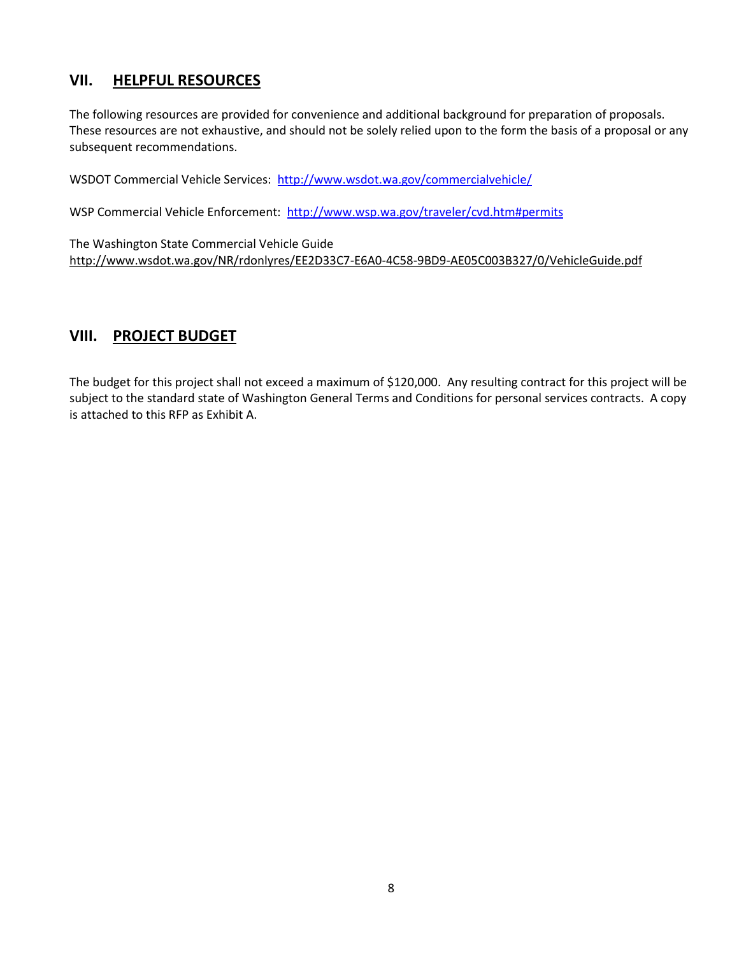#### **VII. HELPFUL RESOURCES**

The following resources are provided for convenience and additional background for preparation of proposals. These resources are not exhaustive, and should not be solely relied upon to the form the basis of a proposal or any subsequent recommendations.

WSDOT Commercial Vehicle Services:<http://www.wsdot.wa.gov/commercialvehicle/>

WSP Commercial Vehicle Enforcement:<http://www.wsp.wa.gov/traveler/cvd.htm#permits>

The Washington State Commercial Vehicle Guide <http://www.wsdot.wa.gov/NR/rdonlyres/EE2D33C7-E6A0-4C58-9BD9-AE05C003B327/0/VehicleGuide.pdf>

#### **VIII. PROJECT BUDGET**

The budget for this project shall not exceed a maximum of \$120,000. Any resulting contract for this project will be subject to the standard state of Washington General Terms and Conditions for personal services contracts. A copy is attached to this RFP as Exhibit A.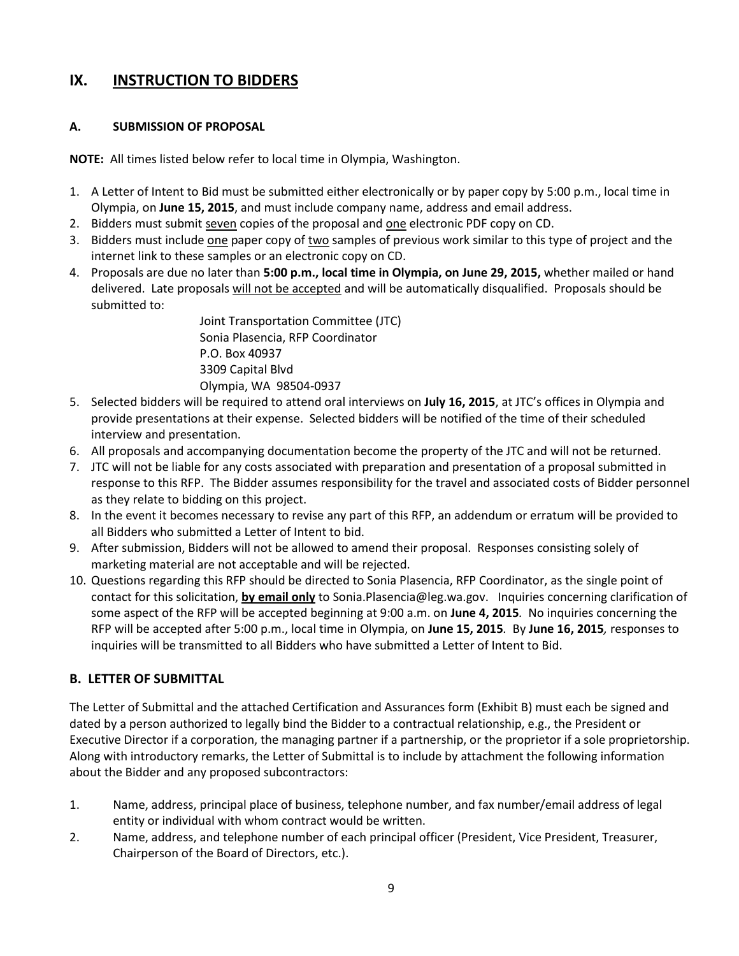#### **IX. INSTRUCTION TO BIDDERS**

#### **A. SUBMISSION OF PROPOSAL**

**NOTE:** All times listed below refer to local time in Olympia, Washington.

- 1. A Letter of Intent to Bid must be submitted either electronically or by paper copy by 5:00 p.m., local time in Olympia, on **June 15, 2015**, and must include company name, address and email address.
- 2. Bidders must submit seven copies of the proposal and one electronic PDF copy on CD.
- 3. Bidders must include one paper copy of two samples of previous work similar to this type of project and the internet link to these samples or an electronic copy on CD.
- 4. Proposals are due no later than **5:00 p.m., local time in Olympia, on June 29, 2015,** whether mailed or hand delivered. Late proposals will not be accepted and will be automatically disqualified. Proposals should be submitted to:

Joint Transportation Committee (JTC) Sonia Plasencia, RFP Coordinator P.O. Box 40937 3309 Capital Blvd Olympia, WA 98504-0937

- 5. Selected bidders will be required to attend oral interviews on **July 16, 2015**, at JTC's offices in Olympia and provide presentations at their expense. Selected bidders will be notified of the time of their scheduled interview and presentation.
- 6. All proposals and accompanying documentation become the property of the JTC and will not be returned.
- 7. JTC will not be liable for any costs associated with preparation and presentation of a proposal submitted in response to this RFP. The Bidder assumes responsibility for the travel and associated costs of Bidder personnel as they relate to bidding on this project.
- 8. In the event it becomes necessary to revise any part of this RFP, an addendum or erratum will be provided to all Bidders who submitted a Letter of Intent to bid.
- 9. After submission, Bidders will not be allowed to amend their proposal. Responses consisting solely of marketing material are not acceptable and will be rejected.
- 10. Questions regarding this RFP should be directed to Sonia Plasencia, RFP Coordinator, as the single point of contact for this solicitation, **by email only** to Sonia.Plasencia@leg.wa.gov. Inquiries concerning clarification of some aspect of the RFP will be accepted beginning at 9:00 a.m. on **June 4, 2015***.* No inquiries concerning the RFP will be accepted after 5:00 p.m., local time in Olympia, on **June 15, 2015***.* By **June 16, 2015***,* responses to inquiries will be transmitted to all Bidders who have submitted a Letter of Intent to Bid.

#### **B. LETTER OF SUBMITTAL**

The Letter of Submittal and the attached Certification and Assurances form (Exhibit B) must each be signed and dated by a person authorized to legally bind the Bidder to a contractual relationship, e.g., the President or Executive Director if a corporation, the managing partner if a partnership, or the proprietor if a sole proprietorship. Along with introductory remarks, the Letter of Submittal is to include by attachment the following information about the Bidder and any proposed subcontractors:

- 1. Name, address, principal place of business, telephone number, and fax number/email address of legal entity or individual with whom contract would be written.
- 2. Name, address, and telephone number of each principal officer (President, Vice President, Treasurer, Chairperson of the Board of Directors, etc.).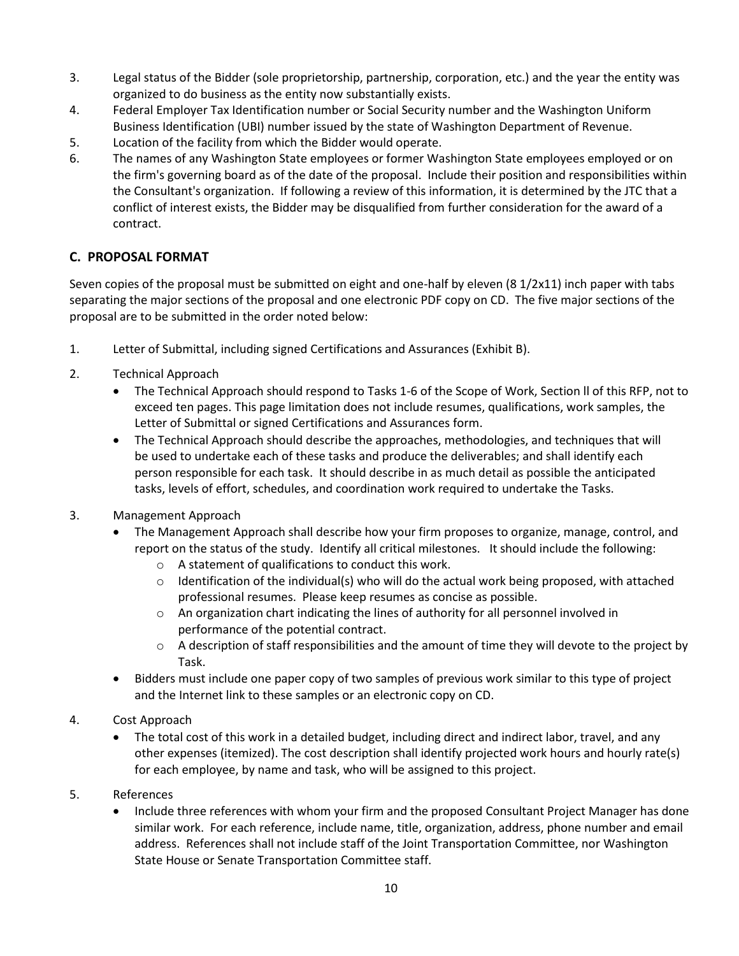- 3. Legal status of the Bidder (sole proprietorship, partnership, corporation, etc.) and the year the entity was organized to do business as the entity now substantially exists.
- 4. Federal Employer Tax Identification number or Social Security number and the Washington Uniform Business Identification (UBI) number issued by the state of Washington Department of Revenue.
- 5. Location of the facility from which the Bidder would operate.
- 6. The names of any Washington State employees or former Washington State employees employed or on the firm's governing board as of the date of the proposal. Include their position and responsibilities within the Consultant's organization. If following a review of this information, it is determined by the JTC that a conflict of interest exists, the Bidder may be disqualified from further consideration for the award of a contract.

#### **C. PROPOSAL FORMAT**

Seven copies of the proposal must be submitted on eight and one-half by eleven (8 1/2x11) inch paper with tabs separating the major sections of the proposal and one electronic PDF copy on CD. The five major sections of the proposal are to be submitted in the order noted below:

- 1. Letter of Submittal, including signed Certifications and Assurances (Exhibit B).
- 2. Technical Approach
	- The Technical Approach should respond to Tasks 1-6 of the Scope of Work, Section ll of this RFP, not to exceed ten pages. This page limitation does not include resumes, qualifications, work samples, the Letter of Submittal or signed Certifications and Assurances form.
	- The Technical Approach should describe the approaches, methodologies, and techniques that will be used to undertake each of these tasks and produce the deliverables; and shall identify each person responsible for each task. It should describe in as much detail as possible the anticipated tasks, levels of effort, schedules, and coordination work required to undertake the Tasks.
- 3. Management Approach
	- The Management Approach shall describe how your firm proposes to organize, manage, control, and report on the status of the study. Identify all critical milestones. It should include the following:
		- o A statement of qualifications to conduct this work.
		- $\circ$  Identification of the individual(s) who will do the actual work being proposed, with attached professional resumes. Please keep resumes as concise as possible.
		- $\circ$  An organization chart indicating the lines of authority for all personnel involved in performance of the potential contract.
		- $\circ$  A description of staff responsibilities and the amount of time they will devote to the project by Task.
	- Bidders must include one paper copy of two samples of previous work similar to this type of project and the Internet link to these samples or an electronic copy on CD.
- 4. Cost Approach
	- The total cost of this work in a detailed budget, including direct and indirect labor, travel, and any other expenses (itemized). The cost description shall identify projected work hours and hourly rate(s) for each employee, by name and task, who will be assigned to this project.
- 5. References
	- Include three references with whom your firm and the proposed Consultant Project Manager has done similar work. For each reference, include name, title, organization, address, phone number and email address. References shall not include staff of the Joint Transportation Committee, nor Washington State House or Senate Transportation Committee staff.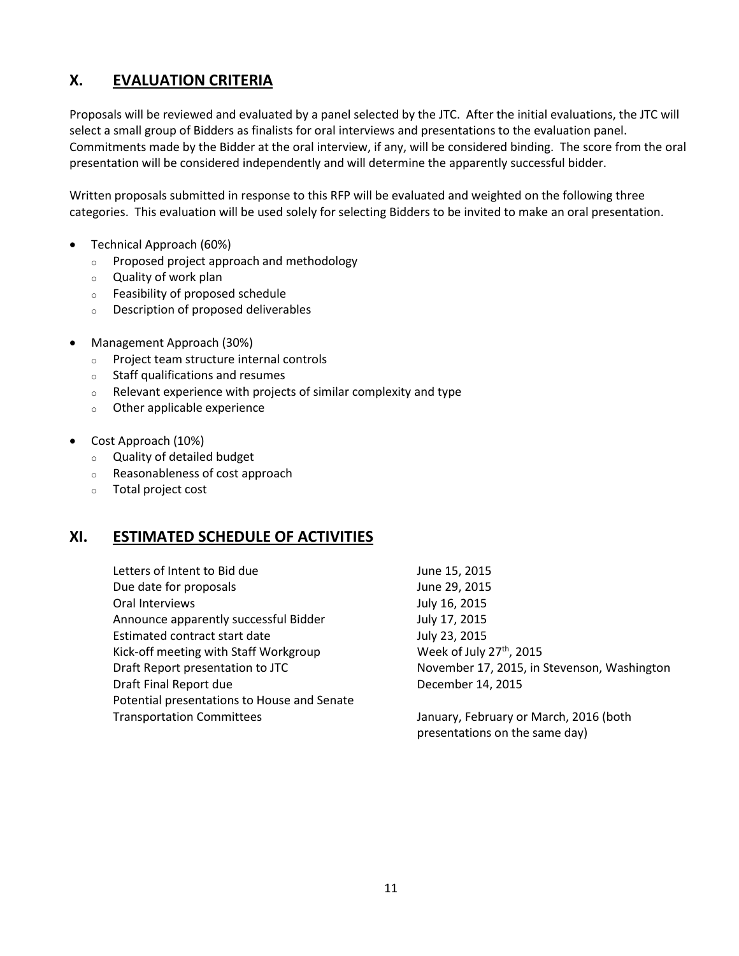### **X. EVALUATION CRITERIA**

Proposals will be reviewed and evaluated by a panel selected by the JTC. After the initial evaluations, the JTC will select a small group of Bidders as finalists for oral interviews and presentations to the evaluation panel. Commitments made by the Bidder at the oral interview, if any, will be considered binding. The score from the oral presentation will be considered independently and will determine the apparently successful bidder.

Written proposals submitted in response to this RFP will be evaluated and weighted on the following three categories. This evaluation will be used solely for selecting Bidders to be invited to make an oral presentation.

- Technical Approach (60%)
	- o Proposed project approach and methodology
	- o Quality of work plan
	- o Feasibility of proposed schedule
	- o Description of proposed deliverables
- Management Approach (30%)
	- o Project team structure internal controls
	- o Staff qualifications and resumes
	- $\circ$  Relevant experience with projects of similar complexity and type
	- o Other applicable experience
- Cost Approach (10%)
	- o Quality of detailed budget
	- o Reasonableness of cost approach
	- o Total project cost

#### **XI. ESTIMATED SCHEDULE OF ACTIVITIES**

Letters of Intent to Bid due June 15, 2015 Due date for proposals and the United States of the United States June 29, 2015 Oral Interviews **July 16, 2015** Announce apparently successful Bidder July 17, 2015 Estimated contract start date July 23, 2015 Kick-off meeting with Staff Workgroup  $\mu$  Week of July 27<sup>th</sup>, 2015 Draft Report presentation to JTC November 17, 2015, in Stevenson, Washington Draft Final Report due **December 14, 2015** Potential presentations to House and Senate Transportation Committees January, February or March, 2016 (both

presentations on the same day)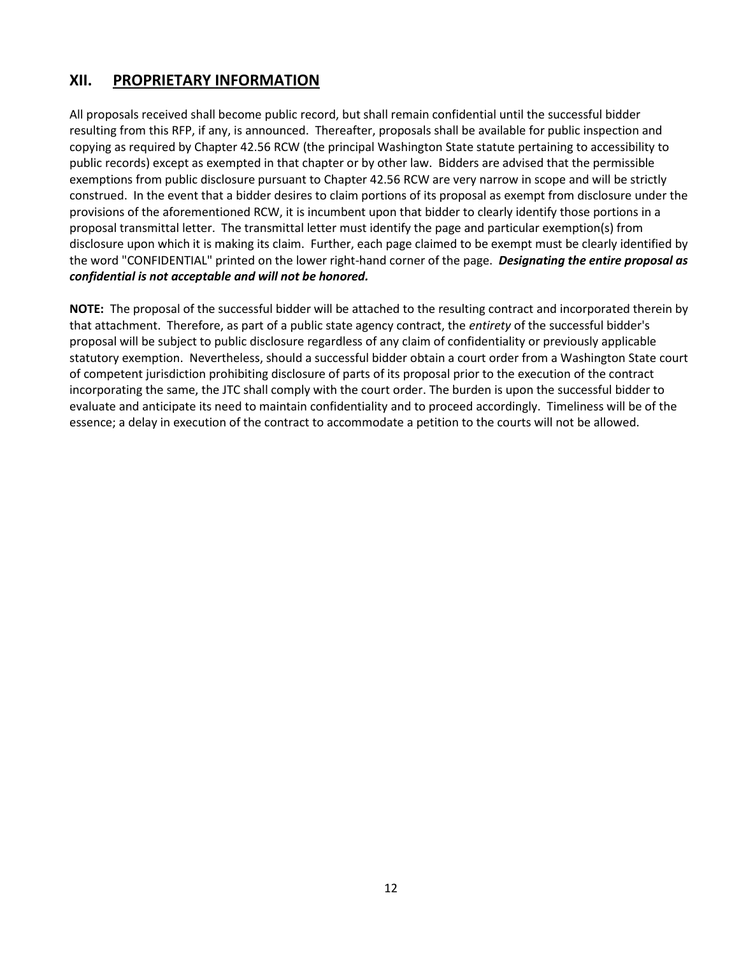#### **XII. PROPRIETARY INFORMATION**

All proposals received shall become public record, but shall remain confidential until the successful bidder resulting from this RFP, if any, is announced. Thereafter, proposals shall be available for public inspection and copying as required by Chapter 42.56 RCW (the principal Washington State statute pertaining to accessibility to public records) except as exempted in that chapter or by other law. Bidders are advised that the permissible exemptions from public disclosure pursuant to Chapter 42.56 RCW are very narrow in scope and will be strictly construed. In the event that a bidder desires to claim portions of its proposal as exempt from disclosure under the provisions of the aforementioned RCW, it is incumbent upon that bidder to clearly identify those portions in a proposal transmittal letter. The transmittal letter must identify the page and particular exemption(s) from disclosure upon which it is making its claim. Further, each page claimed to be exempt must be clearly identified by the word "CONFIDENTIAL" printed on the lower right-hand corner of the page. *Designating the entire proposal as confidential is not acceptable and will not be honored.*

**NOTE:** The proposal of the successful bidder will be attached to the resulting contract and incorporated therein by that attachment. Therefore, as part of a public state agency contract, the *entirety* of the successful bidder's proposal will be subject to public disclosure regardless of any claim of confidentiality or previously applicable statutory exemption. Nevertheless, should a successful bidder obtain a court order from a Washington State court of competent jurisdiction prohibiting disclosure of parts of its proposal prior to the execution of the contract incorporating the same, the JTC shall comply with the court order. The burden is upon the successful bidder to evaluate and anticipate its need to maintain confidentiality and to proceed accordingly. Timeliness will be of the essence; a delay in execution of the contract to accommodate a petition to the courts will not be allowed.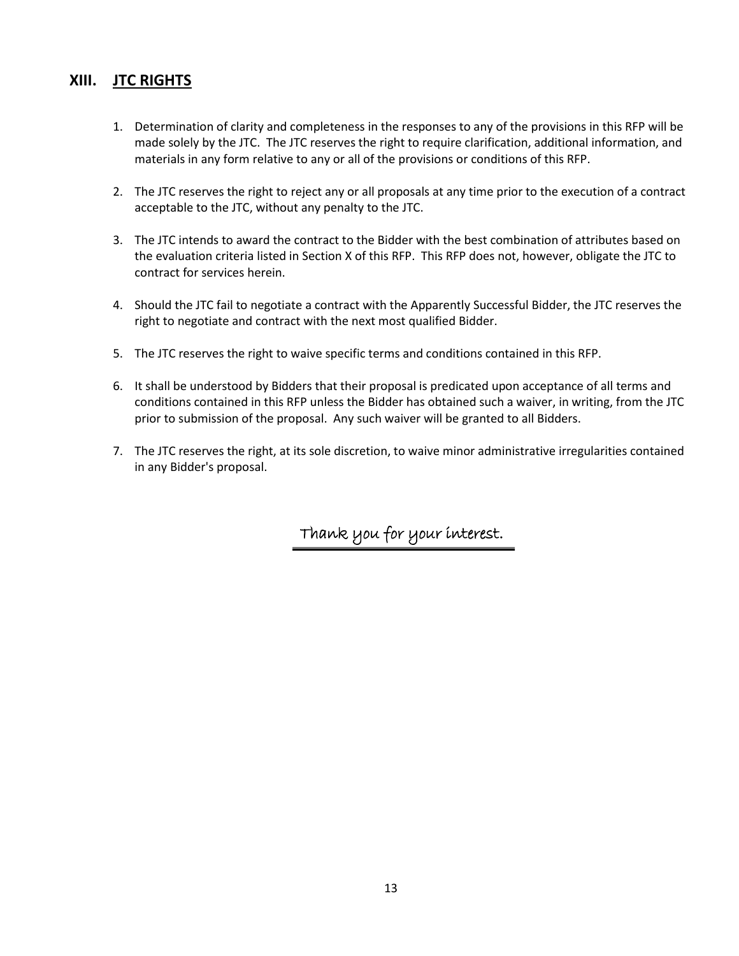#### **XIII. JTC RIGHTS**

- 1. Determination of clarity and completeness in the responses to any of the provisions in this RFP will be made solely by the JTC. The JTC reserves the right to require clarification, additional information, and materials in any form relative to any or all of the provisions or conditions of this RFP.
- 2. The JTC reserves the right to reject any or all proposals at any time prior to the execution of a contract acceptable to the JTC, without any penalty to the JTC.
- 3. The JTC intends to award the contract to the Bidder with the best combination of attributes based on the evaluation criteria listed in Section X of this RFP. This RFP does not, however, obligate the JTC to contract for services herein.
- 4. Should the JTC fail to negotiate a contract with the Apparently Successful Bidder, the JTC reserves the right to negotiate and contract with the next most qualified Bidder.
- 5. The JTC reserves the right to waive specific terms and conditions contained in this RFP.
- 6. It shall be understood by Bidders that their proposal is predicated upon acceptance of all terms and conditions contained in this RFP unless the Bidder has obtained such a waiver, in writing, from the JTC prior to submission of the proposal. Any such waiver will be granted to all Bidders.
- 7. The JTC reserves the right, at its sole discretion, to waive minor administrative irregularities contained in any Bidder's proposal.

Thank you for your interest.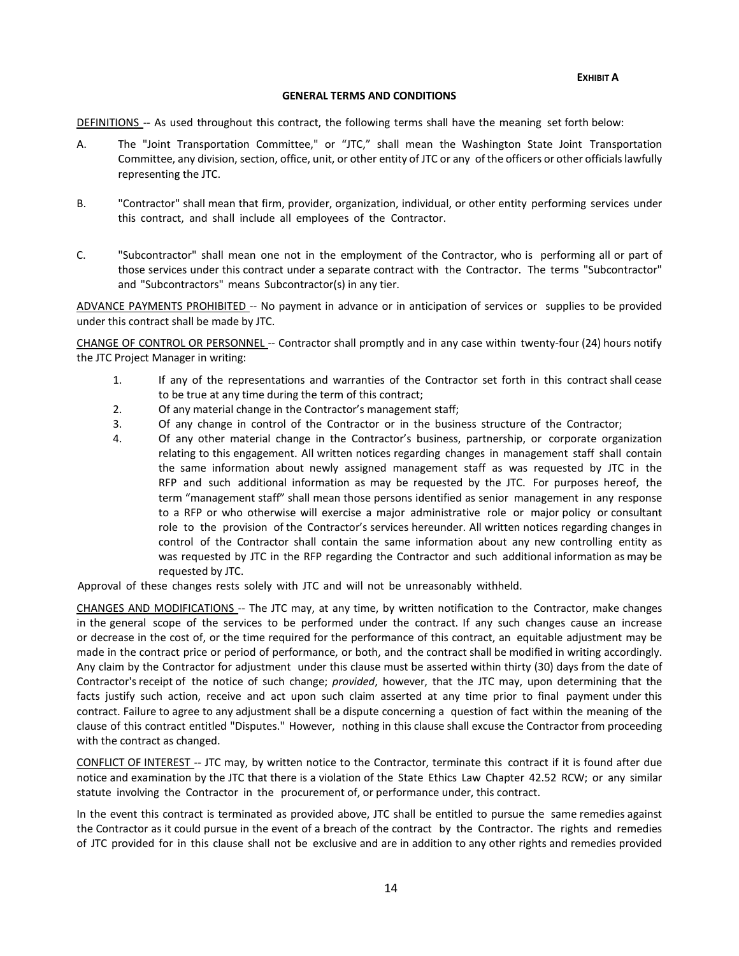**EXHIBIT A**

#### **GENERAL TERMS AND CONDITIONS**

DEFINITIONS -- As used throughout this contract, the following terms shall have the meaning set forth below:

- A. The "Joint Transportation Committee," or "JTC," shall mean the Washington State Joint Transportation Committee, any division, section, office, unit, or other entity of JTC or any of the officers or other officialslawfully representing the JTC.
- B. "Contractor" shall mean that firm, provider, organization, individual, or other entity performing services under this contract, and shall include all employees of the Contractor.
- C. "Subcontractor" shall mean one not in the employment of the Contractor, who is performing all or part of those services under this contract under a separate contract with the Contractor. The terms "Subcontractor" and "Subcontractors" means Subcontractor(s) in any tier.

ADVANCE PAYMENTS PROHIBITED -- No payment in advance or in anticipation of services or supplies to be provided under this contract shall be made by JTC.

CHANGE OF CONTROL OR PERSONNEL -- Contractor shall promptly and in any case within twenty-four (24) hours notify the JTC Project Manager in writing:

- 1. If any of the representations and warranties of the Contractor set forth in this contract shall cease to be true at any time during the term of this contract;
- 2. Of any material change in the Contractor's management staff;
- 3. Of any change in control of the Contractor or in the business structure of the Contractor;
- 4. Of any other material change in the Contractor's business, partnership, or corporate organization relating to this engagement. All written notices regarding changes in management staff shall contain the same information about newly assigned management staff as was requested by JTC in the RFP and such additional information as may be requested by the JTC. For purposes hereof, the term "management staff" shall mean those persons identified as senior management in any response to a RFP or who otherwise will exercise a major administrative role or major policy or consultant role to the provision of the Contractor's services hereunder. All written notices regarding changes in control of the Contractor shall contain the same information about any new controlling entity as was requested by JTC in the RFP regarding the Contractor and such additional information as may be requested by JTC.

Approval of these changes rests solely with JTC and will not be unreasonably withheld.

CHANGES AND MODIFICATIONS -- The JTC may, at any time, by written notification to the Contractor, make changes in the general scope of the services to be performed under the contract. If any such changes cause an increase or decrease in the cost of, or the time required for the performance of this contract, an equitable adjustment may be made in the contract price or period of performance, or both, and the contract shall be modified in writing accordingly. Any claim by the Contractor for adjustment under this clause must be asserted within thirty (30) days from the date of Contractor's receipt of the notice of such change; *provided*, however, that the JTC may, upon determining that the facts justify such action, receive and act upon such claim asserted at any time prior to final payment under this contract. Failure to agree to any adjustment shall be a dispute concerning a question of fact within the meaning of the clause of this contract entitled "Disputes." However, nothing in this clause shall excuse the Contractor from proceeding with the contract as changed.

CONFLICT OF INTEREST -- JTC may, by written notice to the Contractor, terminate this contract if it is found after due notice and examination by the JTC that there is a violation of the State Ethics Law Chapter 42.52 RCW; or any similar statute involving the Contractor in the procurement of, or performance under, this contract.

In the event this contract is terminated as provided above, JTC shall be entitled to pursue the same remedies against the Contractor as it could pursue in the event of a breach of the contract by the Contractor. The rights and remedies of JTC provided for in this clause shall not be exclusive and are in addition to any other rights and remedies provided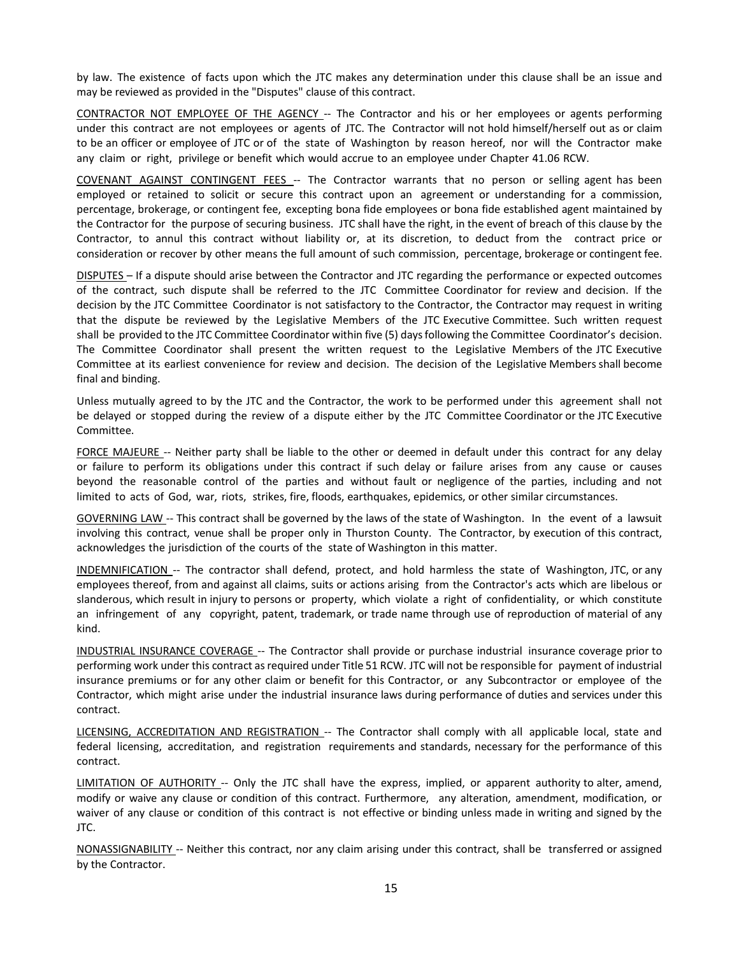by law. The existence of facts upon which the JTC makes any determination under this clause shall be an issue and may be reviewed as provided in the "Disputes" clause of this contract.

CONTRACTOR NOT EMPLOYEE OF THE AGENCY -- The Contractor and his or her employees or agents performing under this contract are not employees or agents of JTC. The Contractor will not hold himself/herself out as or claim to be an officer or employee of JTC or of the state of Washington by reason hereof, nor will the Contractor make any claim or right, privilege or benefit which would accrue to an employee under Chapter 41.06 RCW.

COVENANT AGAINST CONTINGENT FEES -- The Contractor warrants that no person or selling agent has been employed or retained to solicit or secure this contract upon an agreement or understanding for a commission, percentage, brokerage, or contingent fee, excepting bona fide employees or bona fide established agent maintained by the Contractor for the purpose of securing business. JTC shall have the right, in the event of breach of this clause by the Contractor, to annul this contract without liability or, at its discretion, to deduct from the contract price or consideration or recover by other means the full amount of such commission, percentage, brokerage or contingent fee.

DISPUTES – If a dispute should arise between the Contractor and JTC regarding the performance or expected outcomes of the contract, such dispute shall be referred to the JTC Committee Coordinator for review and decision. If the decision by the JTC Committee Coordinator is not satisfactory to the Contractor, the Contractor may request in writing that the dispute be reviewed by the Legislative Members of the JTC Executive Committee. Such written request shall be provided to the JTC Committee Coordinator within five (5) daysfollowing the Committee Coordinator's decision. The Committee Coordinator shall present the written request to the Legislative Members of the JTC Executive Committee at its earliest convenience for review and decision. The decision of the Legislative Members shall become final and binding.

Unless mutually agreed to by the JTC and the Contractor, the work to be performed under this agreement shall not be delayed or stopped during the review of a dispute either by the JTC Committee Coordinator or the JTC Executive Committee.

FORCE MAJEURE -- Neither party shall be liable to the other or deemed in default under this contract for any delay or failure to perform its obligations under this contract if such delay or failure arises from any cause or causes beyond the reasonable control of the parties and without fault or negligence of the parties, including and not limited to acts of God, war, riots, strikes, fire, floods, earthquakes, epidemics, or other similar circumstances.

GOVERNING LAW -- This contract shall be governed by the laws of the state of Washington. In the event of a lawsuit involving this contract, venue shall be proper only in Thurston County. The Contractor, by execution of this contract, acknowledges the jurisdiction of the courts of the state of Washington in this matter.

INDEMNIFICATION -- The contractor shall defend, protect, and hold harmless the state of Washington, JTC, or any employees thereof, from and against all claims, suits or actions arising from the Contractor's acts which are libelous or slanderous, which result in injury to persons or property, which violate a right of confidentiality, or which constitute an infringement of any copyright, patent, trademark, or trade name through use of reproduction of material of any kind.

INDUSTRIAL INSURANCE COVERAGE -- The Contractor shall provide or purchase industrial insurance coverage prior to performing work under this contract as required under Title 51 RCW. JTC will not be responsible for payment of industrial insurance premiums or for any other claim or benefit for this Contractor, or any Subcontractor or employee of the Contractor, which might arise under the industrial insurance laws during performance of duties and services under this contract.

LICENSING, ACCREDITATION AND REGISTRATION -- The Contractor shall comply with all applicable local, state and federal licensing, accreditation, and registration requirements and standards, necessary for the performance of this contract.

LIMITATION OF AUTHORITY -- Only the JTC shall have the express, implied, or apparent authority to alter, amend, modify or waive any clause or condition of this contract. Furthermore, any alteration, amendment, modification, or waiver of any clause or condition of this contract is not effective or binding unless made in writing and signed by the JTC.

NONASSIGNABILITY -- Neither this contract, nor any claim arising under this contract, shall be transferred or assigned by the Contractor.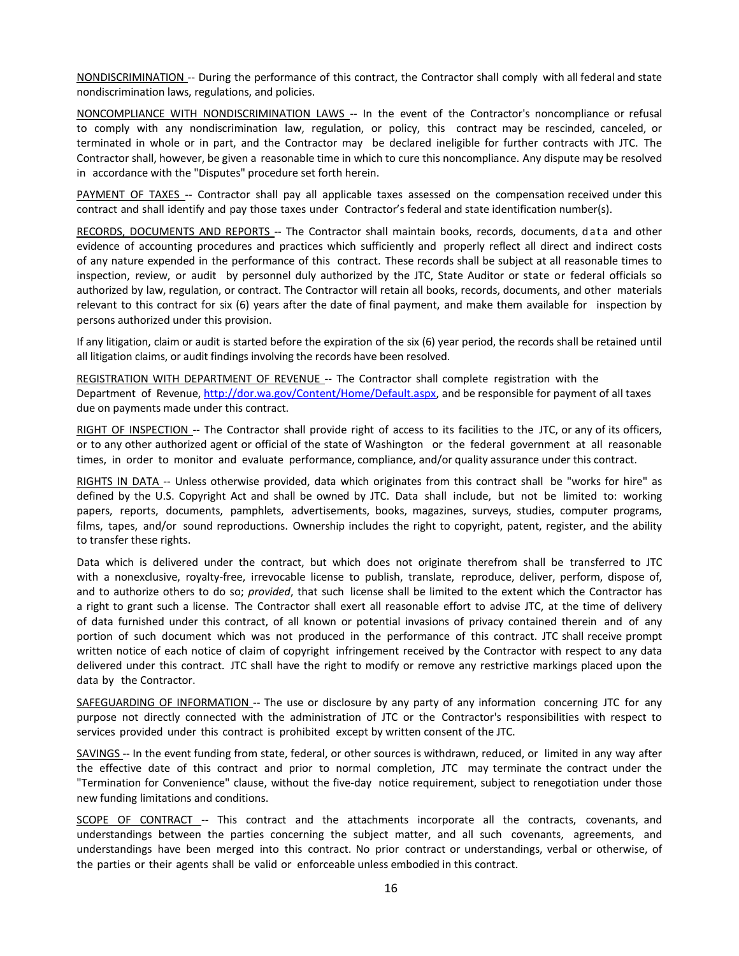NONDISCRIMINATION -- During the performance of this contract, the Contractor shall comply with all federal and state nondiscrimination laws, regulations, and policies.

NONCOMPLIANCE WITH NONDISCRIMINATION LAWS -- In the event of the Contractor's noncompliance or refusal to comply with any nondiscrimination law, regulation, or policy, this contract may be rescinded, canceled, or terminated in whole or in part, and the Contractor may be declared ineligible for further contracts with JTC. The Contractor shall, however, be given a reasonable time in which to cure this noncompliance. Any dispute may be resolved in accordance with the "Disputes" procedure set forth herein.

PAYMENT OF TAXES -- Contractor shall pay all applicable taxes assessed on the compensation received under this contract and shall identify and pay those taxes under Contractor's federal and state identification number(s).

RECORDS, DOCUMENTS AND REPORTS -- The Contractor shall maintain books, records, documents, data and other evidence of accounting procedures and practices which sufficiently and properly reflect all direct and indirect costs of any nature expended in the performance of this contract. These records shall be subject at all reasonable times to inspection, review, or audit by personnel duly authorized by the JTC, State Auditor or state or federal officials so authorized by law, regulation, or contract. The Contractor will retain all books, records, documents, and other materials relevant to this contract for six (6) years after the date of final payment, and make them available for inspection by persons authorized under this provision.

If any litigation, claim or audit is started before the expiration of the six (6) year period, the records shall be retained until all litigation claims, or audit findings involving the records have been resolved.

REGISTRATION WITH DEPARTMENT OF REVENUE -- The Contractor shall complete registration with the Department of Revenue, [http://dor.wa.gov/Content/Home/Default.aspx,](http://dor.wa.gov/Content/Home/Default.aspx) and be responsible for payment of all taxes due on payments made under this contract.

RIGHT OF INSPECTION -- The Contractor shall provide right of access to its facilities to the JTC, or any of its officers, or to any other authorized agent or official of the state of Washington or the federal government at all reasonable times, in order to monitor and evaluate performance, compliance, and/or quality assurance under this contract.

RIGHTS IN DATA -- Unless otherwise provided, data which originates from this contract shall be "works for hire" as defined by the U.S. Copyright Act and shall be owned by JTC. Data shall include, but not be limited to: working papers, reports, documents, pamphlets, advertisements, books, magazines, surveys, studies, computer programs, films, tapes, and/or sound reproductions. Ownership includes the right to copyright, patent, register, and the ability to transfer these rights.

Data which is delivered under the contract, but which does not originate therefrom shall be transferred to JTC with a nonexclusive, royalty-free, irrevocable license to publish, translate, reproduce, deliver, perform, dispose of, and to authorize others to do so; *provided*, that such license shall be limited to the extent which the Contractor has a right to grant such a license. The Contractor shall exert all reasonable effort to advise JTC, at the time of delivery of data furnished under this contract, of all known or potential invasions of privacy contained therein and of any portion of such document which was not produced in the performance of this contract. JTC shall receive prompt written notice of each notice of claim of copyright infringement received by the Contractor with respect to any data delivered under this contract. JTC shall have the right to modify or remove any restrictive markings placed upon the data by the Contractor.

SAFEGUARDING OF INFORMATION -- The use or disclosure by any party of any information concerning JTC for any purpose not directly connected with the administration of JTC or the Contractor's responsibilities with respect to services provided under this contract is prohibited except by written consent of the JTC.

SAVINGS -- In the event funding from state, federal, or other sources is withdrawn, reduced, or limited in any way after the effective date of this contract and prior to normal completion, JTC may terminate the contract under the "Termination for Convenience" clause, without the five-day notice requirement, subject to renegotiation under those new funding limitations and conditions.

SCOPE OF CONTRACT -- This contract and the attachments incorporate all the contracts, covenants, and understandings between the parties concerning the subject matter, and all such covenants, agreements, and understandings have been merged into this contract. No prior contract or understandings, verbal or otherwise, of the parties or their agents shall be valid or enforceable unless embodied in this contract.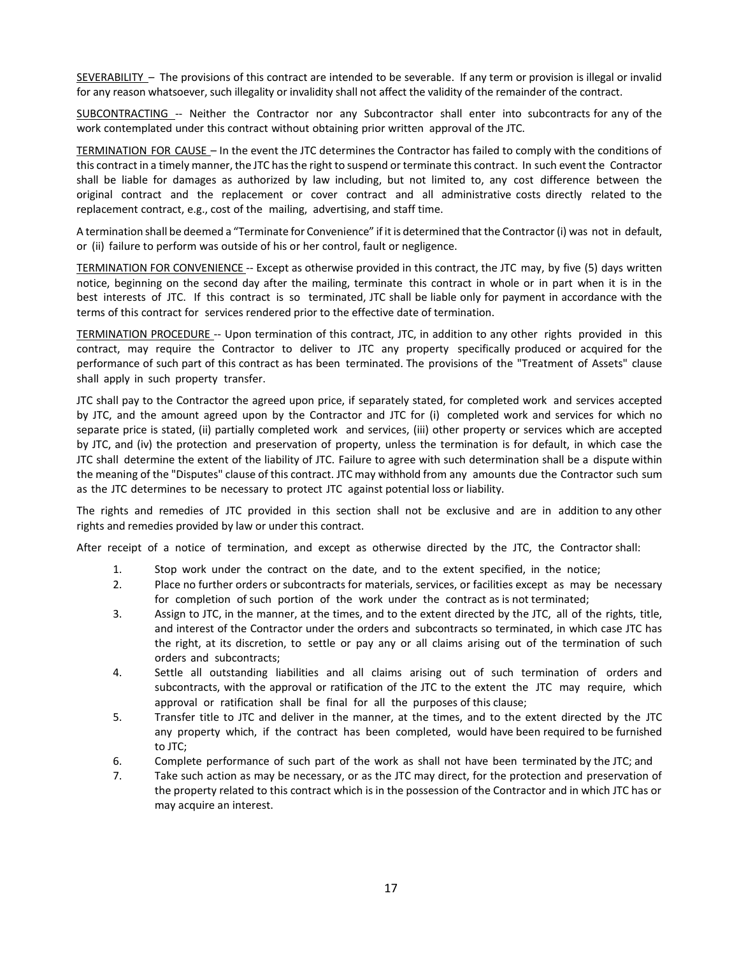SEVERABILITY – The provisions of this contract are intended to be severable. If any term or provision is illegal or invalid for any reason whatsoever, such illegality or invalidity shall not affect the validity of the remainder of the contract.

SUBCONTRACTING -- Neither the Contractor nor any Subcontractor shall enter into subcontracts for any of the work contemplated under this contract without obtaining prior written approval of the JTC.

TERMINATION FOR CAUSE – In the event the JTC determines the Contractor has failed to comply with the conditions of this contract in a timely manner, the JTC has the right to suspend or terminate this contract. In such event the Contractor shall be liable for damages as authorized by law including, but not limited to, any cost difference between the original contract and the replacement or cover contract and all administrative costs directly related to the replacement contract, e.g., cost of the mailing, advertising, and staff time.

A termination shall be deemed a "Terminate for Convenience" if it is determined that the Contractor (i) was not in default, or (ii) failure to perform was outside of his or her control, fault or negligence.

TERMINATION FOR CONVENIENCE -- Except as otherwise provided in this contract, the JTC may, by five (5) days written notice, beginning on the second day after the mailing, terminate this contract in whole or in part when it is in the best interests of JTC. If this contract is so terminated, JTC shall be liable only for payment in accordance with the terms of this contract for services rendered prior to the effective date of termination.

TERMINATION PROCEDURE -- Upon termination of this contract, JTC, in addition to any other rights provided in this contract, may require the Contractor to deliver to JTC any property specifically produced or acquired for the performance of such part of this contract as has been terminated. The provisions of the "Treatment of Assets" clause shall apply in such property transfer.

JTC shall pay to the Contractor the agreed upon price, if separately stated, for completed work and services accepted by JTC, and the amount agreed upon by the Contractor and JTC for (i) completed work and services for which no separate price is stated, (ii) partially completed work and services, (iii) other property or services which are accepted by JTC, and (iv) the protection and preservation of property, unless the termination is for default, in which case the JTC shall determine the extent of the liability of JTC. Failure to agree with such determination shall be a dispute within the meaning of the "Disputes" clause of this contract. JTC may withhold from any amounts due the Contractor such sum as the JTC determines to be necessary to protect JTC against potential loss or liability.

The rights and remedies of JTC provided in this section shall not be exclusive and are in addition to any other rights and remedies provided by law or under this contract.

After receipt of a notice of termination, and except as otherwise directed by the JTC, the Contractor shall:

- 1. Stop work under the contract on the date, and to the extent specified, in the notice;
- 2. Place no further orders or subcontracts for materials, services, or facilities except as may be necessary for completion of such portion of the work under the contract as is not terminated;
- 3. Assign to JTC, in the manner, at the times, and to the extent directed by the JTC, all of the rights, title, and interest of the Contractor under the orders and subcontracts so terminated, in which case JTC has the right, at its discretion, to settle or pay any or all claims arising out of the termination of such orders and subcontracts;
- 4. Settle all outstanding liabilities and all claims arising out of such termination of orders and subcontracts, with the approval or ratification of the JTC to the extent the JTC may require, which approval or ratification shall be final for all the purposes of this clause;
- 5. Transfer title to JTC and deliver in the manner, at the times, and to the extent directed by the JTC any property which, if the contract has been completed, would have been required to be furnished to JTC;
- 6. Complete performance of such part of the work as shall not have been terminated by the JTC; and
- 7. Take such action as may be necessary, or as the JTC may direct, for the protection and preservation of the property related to this contract which is in the possession of the Contractor and in which JTC has or may acquire an interest.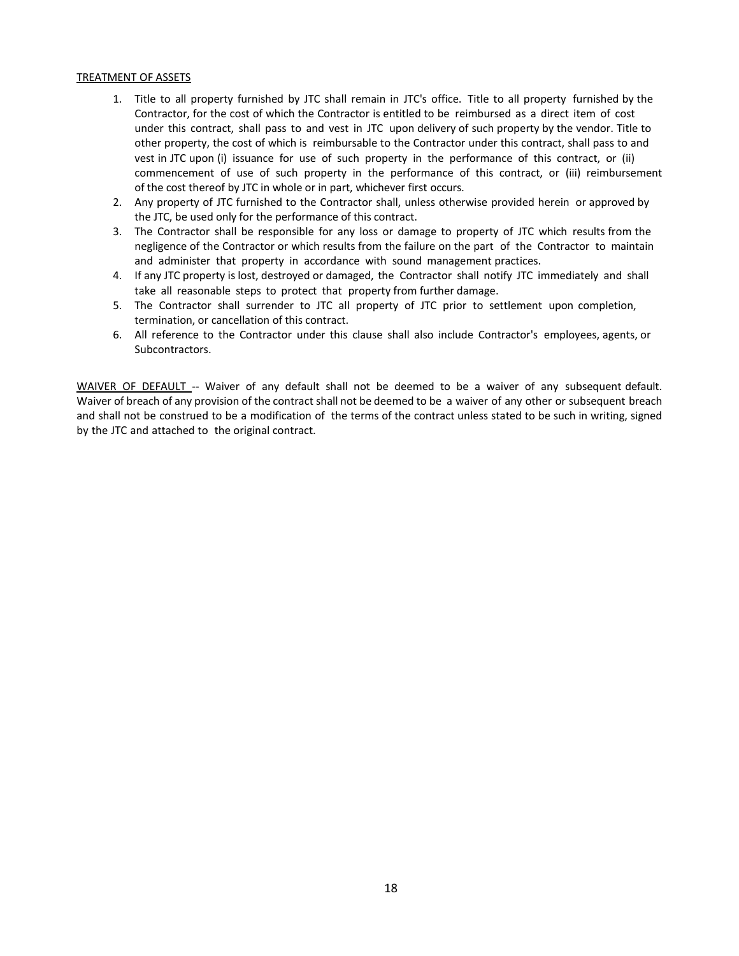#### TREATMENT OF ASSETS

- 1. Title to all property furnished by JTC shall remain in JTC's office. Title to all property furnished by the Contractor, for the cost of which the Contractor is entitled to be reimbursed as a direct item of cost under this contract, shall pass to and vest in JTC upon delivery of such property by the vendor. Title to other property, the cost of which is reimbursable to the Contractor under this contract, shall pass to and vest in JTC upon (i) issuance for use of such property in the performance of this contract, or (ii) commencement of use of such property in the performance of this contract, or (iii) reimbursement of the cost thereof by JTC in whole or in part, whichever first occurs.
- 2. Any property of JTC furnished to the Contractor shall, unless otherwise provided herein or approved by the JTC, be used only for the performance of this contract.
- 3. The Contractor shall be responsible for any loss or damage to property of JTC which results from the negligence of the Contractor or which results from the failure on the part of the Contractor to maintain and administer that property in accordance with sound management practices.
- 4. If any JTC property is lost, destroyed or damaged, the Contractor shall notify JTC immediately and shall take all reasonable steps to protect that property from further damage.
- 5. The Contractor shall surrender to JTC all property of JTC prior to settlement upon completion, termination, or cancellation of this contract.
- 6. All reference to the Contractor under this clause shall also include Contractor's employees, agents, or Subcontractors.

WAIVER OF DEFAULT -- Waiver of any default shall not be deemed to be a waiver of any subsequent default. Waiver of breach of any provision of the contract shall not be deemed to be a waiver of any other or subsequent breach and shall not be construed to be a modification of the terms of the contract unless stated to be such in writing, signed by the JTC and attached to the original contract.